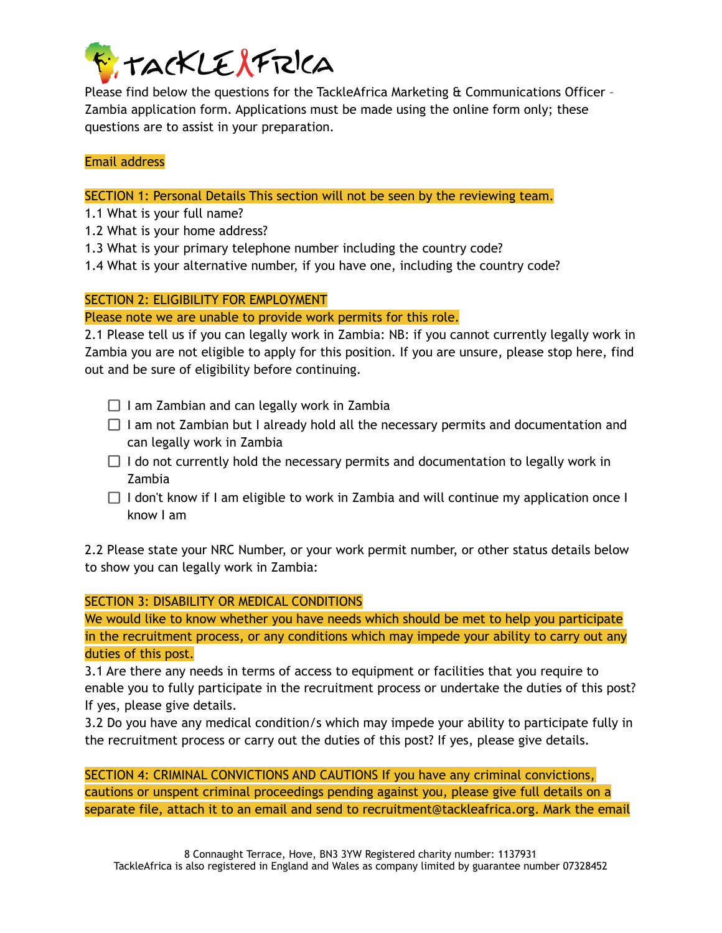

Please find below the questions for the TackleAfrica Marketing & Communications Officer – Zambia application form. Applications must be made using the online form only; these questions are to assist in your preparation.

## Email address

SECTION 1: Personal Details This section will not be seen by the reviewing team.

- 1.1 What is your full name?
- 1.2 What is your home address?
- 1.3 What is your primary telephone number including the country code?
- 1.4 What is your alternative number, if you have one, including the country code?

#### SECTION 2: ELIGIBILITY FOR EMPLOYMENT

Please note we are unable to provide work permits for this role.

2.1 Please tell us if you can legally work in Zambia: NB: if you cannot currently legally work in Zambia you are not eligible to apply for this position. If you are unsure, please stop here, find out and be sure of eligibility before continuing.

- $\Box$  I am Zambian and can legally work in Zambia
- $\Box$  I am not Zambian but I already hold all the necessary permits and documentation and can legally work in Zambia
- $\Box$  I do not currently hold the necessary permits and documentation to legally work in Zambia
- $\Box$  I don't know if I am eligible to work in Zambia and will continue my application once I know I am

2.2 Please state your NRC Number, or your work permit number, or other status details below to show you can legally work in Zambia:

SECTION 3: DISABILITY OR MEDICAL CONDITIONS

We would like to know whether you have needs which should be met to help you participate in the recruitment process, or any conditions which may impede your ability to carry out any duties of this post.

3.1 Are there any needs in terms of access to equipment or facilities that you require to enable you to fully participate in the recruitment process or undertake the duties of this post? If yes, please give details.

3.2 Do you have any medical condition/s which may impede your ability to participate fully in the recruitment process or carry out the duties of this post? If yes, please give details.

SECTION 4: CRIMINAL CONVICTIONS AND CAUTIONS If you have any criminal convictions, cautions or unspent criminal proceedings pending against you, please give full details on a separate file, attach it to an email and send to recruitment@tackleafrica.org. Mark the email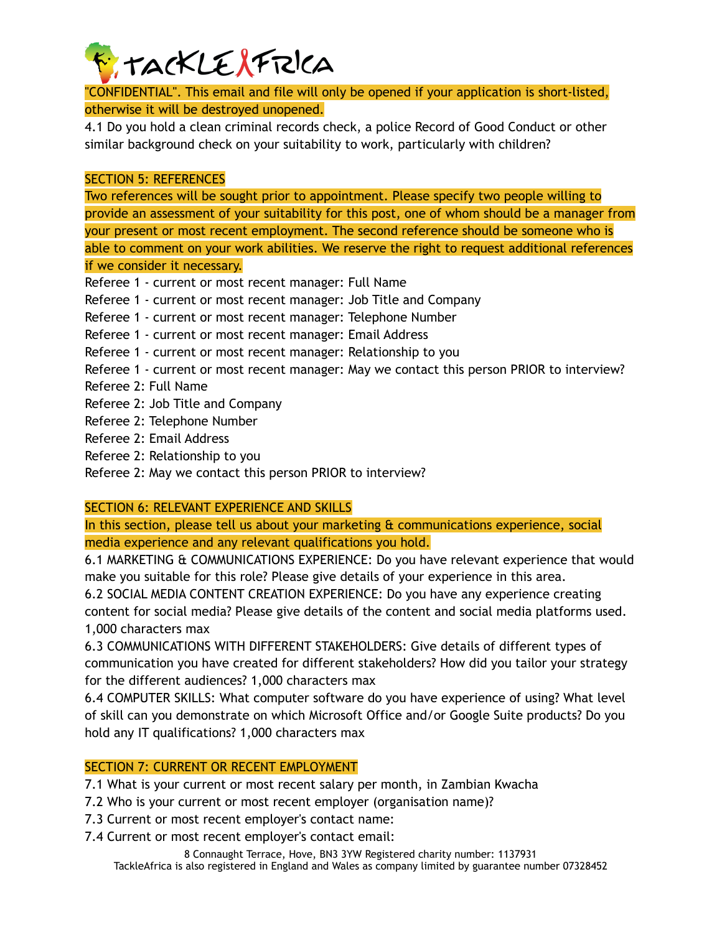

"CONFIDENTIAL". This email and file will only be opened if your application is short-listed, otherwise it will be destroyed unopened.

4.1 Do you hold a clean criminal records check, a police Record of Good Conduct or other similar background check on your suitability to work, particularly with children?

#### SECTION 5: REFERENCES

Two references will be sought prior to appointment. Please specify two people willing to provide an assessment of your suitability for this post, one of whom should be a manager from your present or most recent employment. The second reference should be someone who is able to comment on your work abilities. We reserve the right to request additional references if we consider it necessary.

- Referee 1 current or most recent manager: Full Name
- Referee 1 current or most recent manager: Job Title and Company
- Referee 1 current or most recent manager: Telephone Number
- Referee 1 current or most recent manager: Email Address
- Referee 1 current or most recent manager: Relationship to you
- Referee 1 current or most recent manager: May we contact this person PRIOR to interview?
- Referee 2: Full Name
- Referee 2: Job Title and Company
- Referee 2: Telephone Number
- Referee 2: Email Address
- Referee 2: Relationship to you

Referee 2: May we contact this person PRIOR to interview?

## SECTION 6: RELEVANT EXPERIENCE AND SKILLS

In this section, please tell us about your marketing & communications experience, social media experience and any relevant qualifications you hold.

6.1 MARKETING & COMMUNICATIONS EXPERIENCE: Do you have relevant experience that would make you suitable for this role? Please give details of your experience in this area.

6.2 SOCIAL MEDIA CONTENT CREATION EXPERIENCE: Do you have any experience creating content for social media? Please give details of the content and social media platforms used. 1,000 characters max

6.3 COMMUNICATIONS WITH DIFFERENT STAKEHOLDERS: Give details of different types of communication you have created for different stakeholders? How did you tailor your strategy for the different audiences? 1,000 characters max

6.4 COMPUTER SKILLS: What computer software do you have experience of using? What level of skill can you demonstrate on which Microsoft Office and/or Google Suite products? Do you hold any IT qualifications? 1,000 characters max

## SECTION 7: CURRENT OR RECENT EMPLOYMENT

7.1 What is your current or most recent salary per month, in Zambian Kwacha

- 7.2 Who is your current or most recent employer (organisation name)?
- 7.3 Current or most recent employer's contact name:

7.4 Current or most recent employer's contact email:

8 Connaught Terrace, Hove, BN3 3YW Registered charity number: 1137931 TackleAfrica is also registered in England and Wales as company limited by guarantee number 07328452